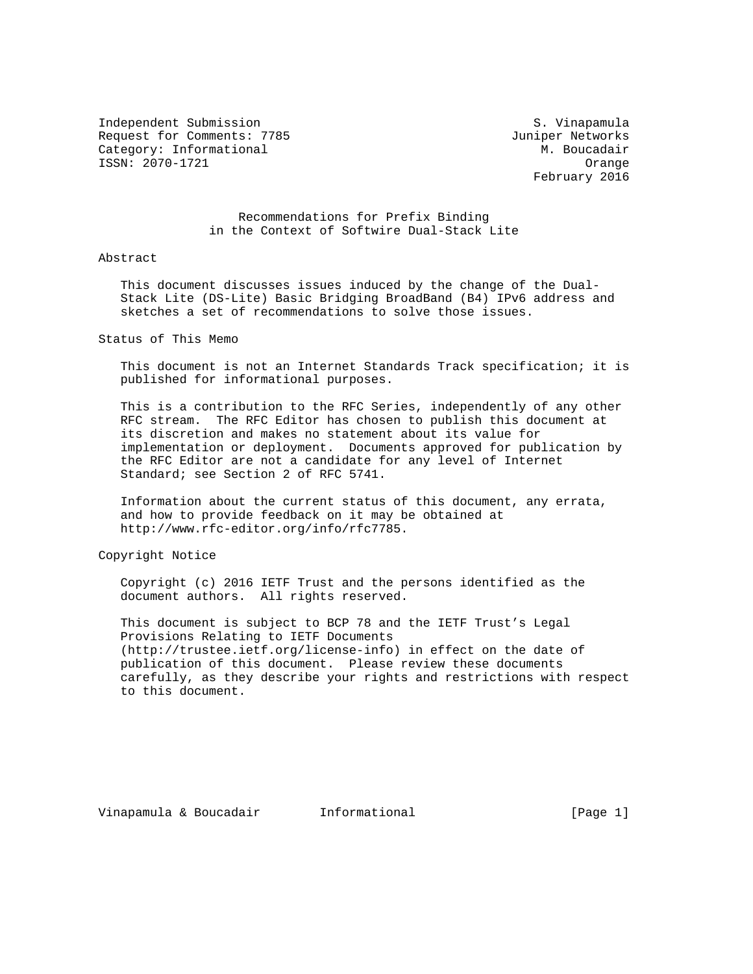Independent Submission S. Vinapamula Request for Comments: 7785 Juniper Networks Category: Informational  $\overline{M}$ . Boucadair ISSN: 2070-1721 Orange

February 2016

 Recommendations for Prefix Binding in the Context of Softwire Dual-Stack Lite

## Abstract

 This document discusses issues induced by the change of the Dual- Stack Lite (DS-Lite) Basic Bridging BroadBand (B4) IPv6 address and sketches a set of recommendations to solve those issues.

Status of This Memo

 This document is not an Internet Standards Track specification; it is published for informational purposes.

 This is a contribution to the RFC Series, independently of any other RFC stream. The RFC Editor has chosen to publish this document at its discretion and makes no statement about its value for implementation or deployment. Documents approved for publication by the RFC Editor are not a candidate for any level of Internet Standard; see Section 2 of RFC 5741.

 Information about the current status of this document, any errata, and how to provide feedback on it may be obtained at http://www.rfc-editor.org/info/rfc7785.

Copyright Notice

 Copyright (c) 2016 IETF Trust and the persons identified as the document authors. All rights reserved.

 This document is subject to BCP 78 and the IETF Trust's Legal Provisions Relating to IETF Documents (http://trustee.ietf.org/license-info) in effect on the date of publication of this document. Please review these documents carefully, as they describe your rights and restrictions with respect to this document.

Vinapamula & Boucadair and Informational and The Lage 1]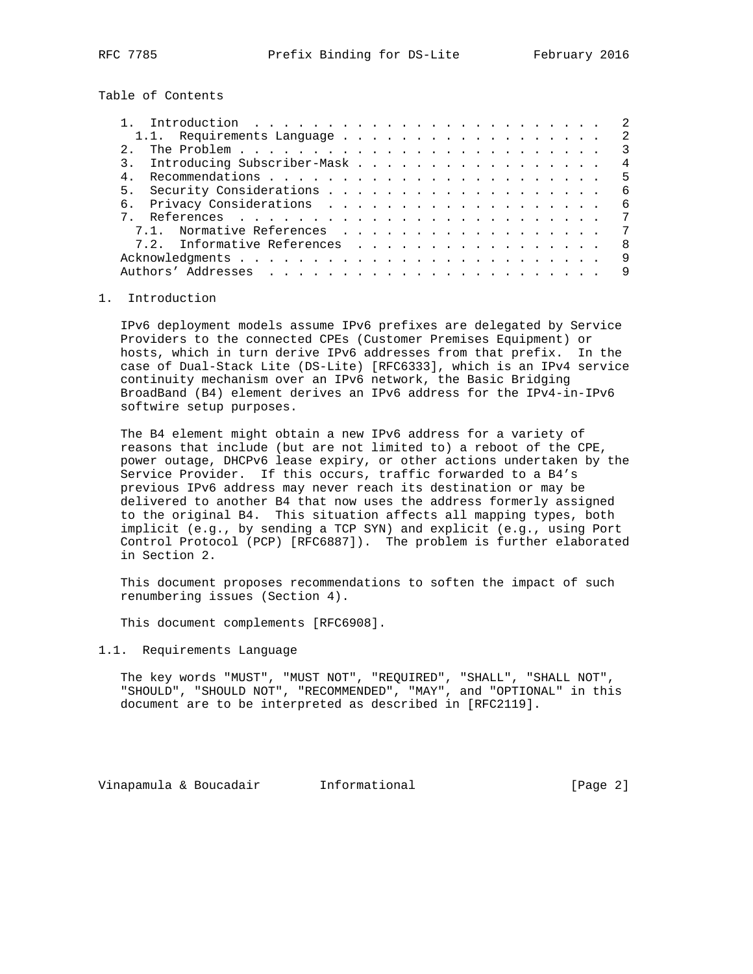Table of Contents

| 2                                                                                                          |
|------------------------------------------------------------------------------------------------------------|
| The Problem $\cdots$ $\cdots$ $\cdots$ $\cdots$ $\cdots$ $\cdots$ $\cdots$ $\cdots$ $\cdots$ $\cdots$<br>3 |
| 3. Introducing Subscriber-Mask<br>4                                                                        |
| -5                                                                                                         |
| 5 <sub>1</sub><br>-6                                                                                       |
| 6.<br>6                                                                                                    |
| 7                                                                                                          |
| 7.1. Normative References<br>7                                                                             |
| 7.2. Informative References<br>8                                                                           |
| 9                                                                                                          |
| 9                                                                                                          |
|                                                                                                            |

## 1. Introduction

 IPv6 deployment models assume IPv6 prefixes are delegated by Service Providers to the connected CPEs (Customer Premises Equipment) or hosts, which in turn derive IPv6 addresses from that prefix. In the case of Dual-Stack Lite (DS-Lite) [RFC6333], which is an IPv4 service continuity mechanism over an IPv6 network, the Basic Bridging BroadBand (B4) element derives an IPv6 address for the IPv4-in-IPv6 softwire setup purposes.

 The B4 element might obtain a new IPv6 address for a variety of reasons that include (but are not limited to) a reboot of the CPE, power outage, DHCPv6 lease expiry, or other actions undertaken by the Service Provider. If this occurs, traffic forwarded to a B4's previous IPv6 address may never reach its destination or may be delivered to another B4 that now uses the address formerly assigned to the original B4. This situation affects all mapping types, both implicit (e.g., by sending a TCP SYN) and explicit (e.g., using Port Control Protocol (PCP) [RFC6887]). The problem is further elaborated in Section 2.

 This document proposes recommendations to soften the impact of such renumbering issues (Section 4).

This document complements [RFC6908].

## 1.1. Requirements Language

 The key words "MUST", "MUST NOT", "REQUIRED", "SHALL", "SHALL NOT", "SHOULD", "SHOULD NOT", "RECOMMENDED", "MAY", and "OPTIONAL" in this document are to be interpreted as described in [RFC2119].

Vinapamula & Boucadair **Informational Informational** [Page 2]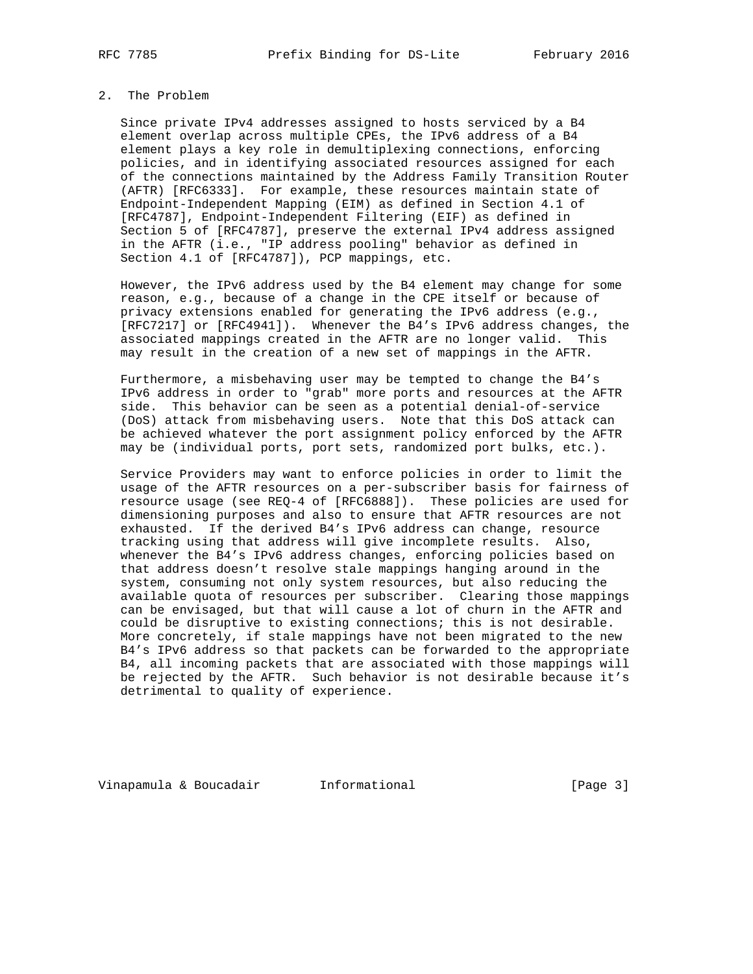# 2. The Problem

 Since private IPv4 addresses assigned to hosts serviced by a B4 element overlap across multiple CPEs, the IPv6 address of a B4 element plays a key role in demultiplexing connections, enforcing policies, and in identifying associated resources assigned for each of the connections maintained by the Address Family Transition Router (AFTR) [RFC6333]. For example, these resources maintain state of Endpoint-Independent Mapping (EIM) as defined in Section 4.1 of [RFC4787], Endpoint-Independent Filtering (EIF) as defined in Section 5 of [RFC4787], preserve the external IPv4 address assigned in the AFTR (i.e., "IP address pooling" behavior as defined in Section 4.1 of [RFC4787]), PCP mappings, etc.

 However, the IPv6 address used by the B4 element may change for some reason, e.g., because of a change in the CPE itself or because of privacy extensions enabled for generating the IPv6 address (e.g., [RFC7217] or [RFC4941]). Whenever the B4's IPv6 address changes, the associated mappings created in the AFTR are no longer valid. This may result in the creation of a new set of mappings in the AFTR.

 Furthermore, a misbehaving user may be tempted to change the B4's IPv6 address in order to "grab" more ports and resources at the AFTR side. This behavior can be seen as a potential denial-of-service (DoS) attack from misbehaving users. Note that this DoS attack can be achieved whatever the port assignment policy enforced by the AFTR may be (individual ports, port sets, randomized port bulks, etc.).

 Service Providers may want to enforce policies in order to limit the usage of the AFTR resources on a per-subscriber basis for fairness of resource usage (see REQ-4 of [RFC6888]). These policies are used for dimensioning purposes and also to ensure that AFTR resources are not exhausted. If the derived B4's IPv6 address can change, resource tracking using that address will give incomplete results. Also, whenever the B4's IPv6 address changes, enforcing policies based on that address doesn't resolve stale mappings hanging around in the system, consuming not only system resources, but also reducing the available quota of resources per subscriber. Clearing those mappings can be envisaged, but that will cause a lot of churn in the AFTR and could be disruptive to existing connections; this is not desirable. More concretely, if stale mappings have not been migrated to the new B4's IPv6 address so that packets can be forwarded to the appropriate B4, all incoming packets that are associated with those mappings will be rejected by the AFTR. Such behavior is not desirable because it's detrimental to quality of experience.

Vinapamula & Boucadair **Informational Informational** [Page 3]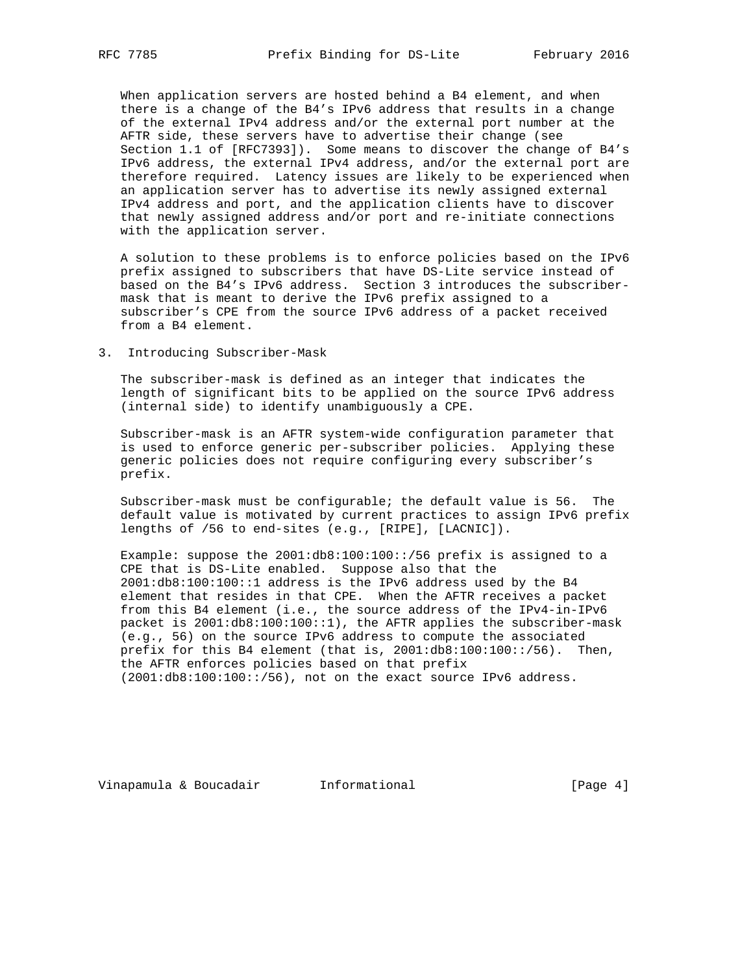When application servers are hosted behind a B4 element, and when there is a change of the B4's IPv6 address that results in a change of the external IPv4 address and/or the external port number at the AFTR side, these servers have to advertise their change (see Section 1.1 of [RFC7393]). Some means to discover the change of B4's IPv6 address, the external IPv4 address, and/or the external port are therefore required. Latency issues are likely to be experienced when an application server has to advertise its newly assigned external IPv4 address and port, and the application clients have to discover that newly assigned address and/or port and re-initiate connections with the application server.

 A solution to these problems is to enforce policies based on the IPv6 prefix assigned to subscribers that have DS-Lite service instead of based on the B4's IPv6 address. Section 3 introduces the subscriber mask that is meant to derive the IPv6 prefix assigned to a subscriber's CPE from the source IPv6 address of a packet received from a B4 element.

3. Introducing Subscriber-Mask

 The subscriber-mask is defined as an integer that indicates the length of significant bits to be applied on the source IPv6 address (internal side) to identify unambiguously a CPE.

 Subscriber-mask is an AFTR system-wide configuration parameter that is used to enforce generic per-subscriber policies. Applying these generic policies does not require configuring every subscriber's prefix.

 Subscriber-mask must be configurable; the default value is 56. The default value is motivated by current practices to assign IPv6 prefix lengths of /56 to end-sites (e.g., [RIPE], [LACNIC]).

 Example: suppose the 2001:db8:100:100::/56 prefix is assigned to a CPE that is DS-Lite enabled. Suppose also that the 2001:db8:100:100::1 address is the IPv6 address used by the B4 element that resides in that CPE. When the AFTR receives a packet from this B4 element (i.e., the source address of the IPv4-in-IPv6 packet is 2001:db8:100:100::1), the AFTR applies the subscriber-mask (e.g., 56) on the source IPv6 address to compute the associated prefix for this B4 element (that is,  $2001:d b8:100:100::/56$ ). Then, the AFTR enforces policies based on that prefix  $(2001:db8:100:100:1/56)$ , not on the exact source IPv6 address.

Vinapamula & Boucadair **Informational Informational** [Page 4]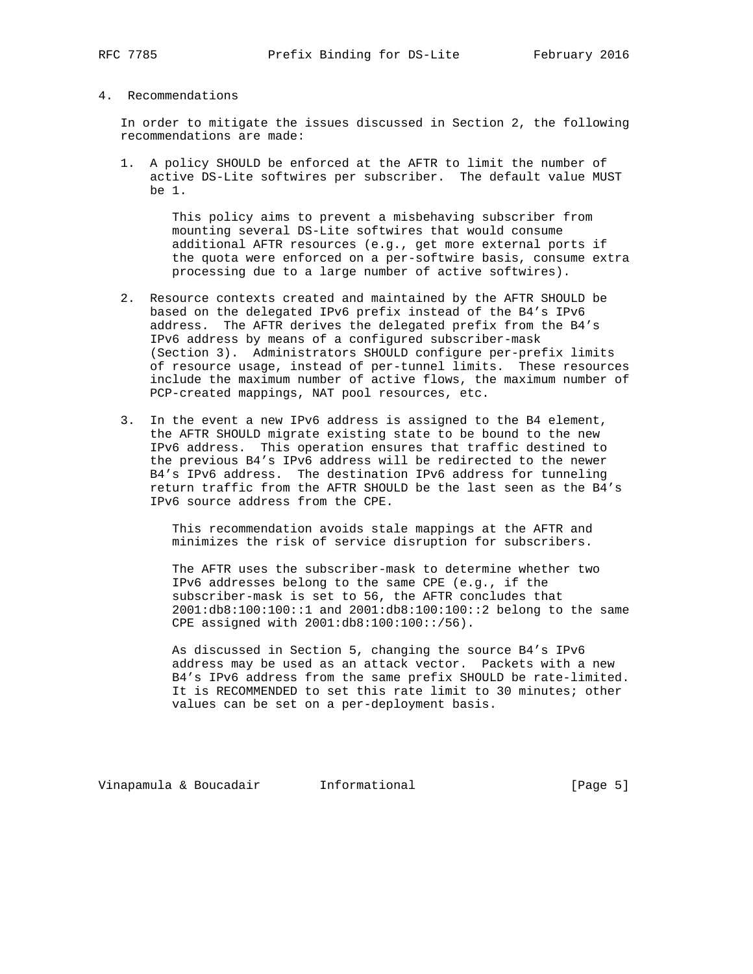## 4. Recommendations

 In order to mitigate the issues discussed in Section 2, the following recommendations are made:

 1. A policy SHOULD be enforced at the AFTR to limit the number of active DS-Lite softwires per subscriber. The default value MUST be 1.

 This policy aims to prevent a misbehaving subscriber from mounting several DS-Lite softwires that would consume additional AFTR resources (e.g., get more external ports if the quota were enforced on a per-softwire basis, consume extra processing due to a large number of active softwires).

- 2. Resource contexts created and maintained by the AFTR SHOULD be based on the delegated IPv6 prefix instead of the B4's IPv6 address. The AFTR derives the delegated prefix from the B4's IPv6 address by means of a configured subscriber-mask (Section 3). Administrators SHOULD configure per-prefix limits of resource usage, instead of per-tunnel limits. These resources include the maximum number of active flows, the maximum number of PCP-created mappings, NAT pool resources, etc.
- 3. In the event a new IPv6 address is assigned to the B4 element, the AFTR SHOULD migrate existing state to be bound to the new IPv6 address. This operation ensures that traffic destined to the previous B4's IPv6 address will be redirected to the newer B4's IPv6 address. The destination IPv6 address for tunneling return traffic from the AFTR SHOULD be the last seen as the B4's IPv6 source address from the CPE.

 This recommendation avoids stale mappings at the AFTR and minimizes the risk of service disruption for subscribers.

 The AFTR uses the subscriber-mask to determine whether two IPv6 addresses belong to the same CPE (e.g., if the subscriber-mask is set to 56, the AFTR concludes that 2001:db8:100:100::1 and 2001:db8:100:100::2 belong to the same CPE assigned with 2001:db8:100:100::/56).

 As discussed in Section 5, changing the source B4's IPv6 address may be used as an attack vector. Packets with a new B4's IPv6 address from the same prefix SHOULD be rate-limited. It is RECOMMENDED to set this rate limit to 30 minutes; other values can be set on a per-deployment basis.

Vinapamula & Boucadair **Informational Informational** [Page 5]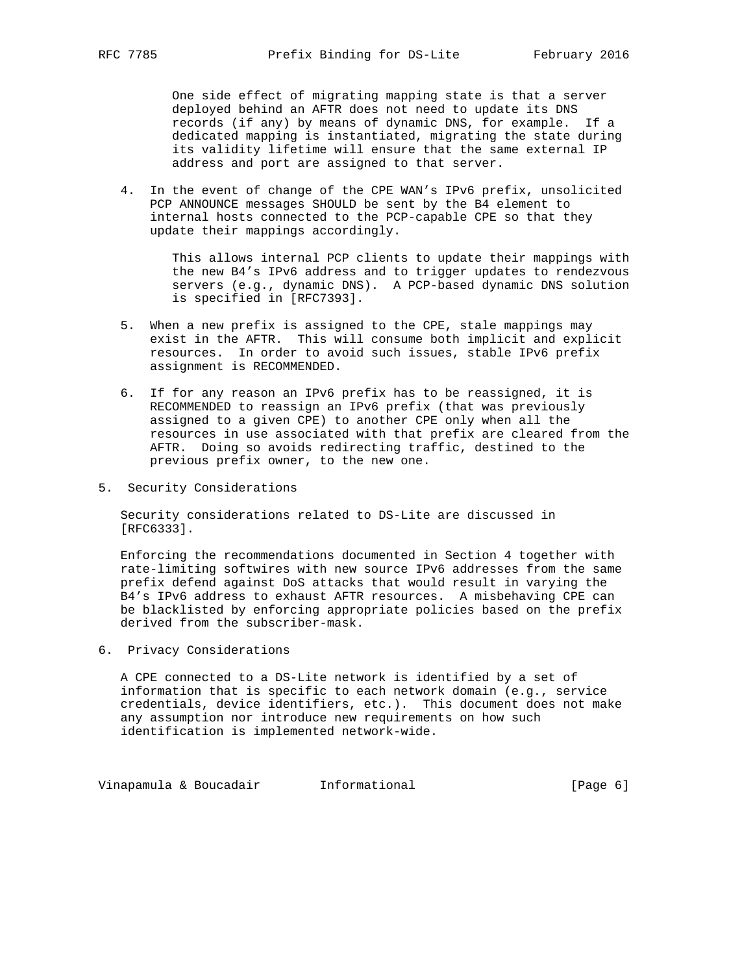One side effect of migrating mapping state is that a server deployed behind an AFTR does not need to update its DNS records (if any) by means of dynamic DNS, for example. If a dedicated mapping is instantiated, migrating the state during its validity lifetime will ensure that the same external IP address and port are assigned to that server.

 4. In the event of change of the CPE WAN's IPv6 prefix, unsolicited PCP ANNOUNCE messages SHOULD be sent by the B4 element to internal hosts connected to the PCP-capable CPE so that they update their mappings accordingly.

 This allows internal PCP clients to update their mappings with the new B4's IPv6 address and to trigger updates to rendezvous servers (e.g., dynamic DNS). A PCP-based dynamic DNS solution is specified in [RFC7393].

- 5. When a new prefix is assigned to the CPE, stale mappings may exist in the AFTR. This will consume both implicit and explicit resources. In order to avoid such issues, stable IPv6 prefix assignment is RECOMMENDED.
- 6. If for any reason an IPv6 prefix has to be reassigned, it is RECOMMENDED to reassign an IPv6 prefix (that was previously assigned to a given CPE) to another CPE only when all the resources in use associated with that prefix are cleared from the AFTR. Doing so avoids redirecting traffic, destined to the previous prefix owner, to the new one.
- 5. Security Considerations

 Security considerations related to DS-Lite are discussed in [RFC6333].

 Enforcing the recommendations documented in Section 4 together with rate-limiting softwires with new source IPv6 addresses from the same prefix defend against DoS attacks that would result in varying the B4's IPv6 address to exhaust AFTR resources. A misbehaving CPE can be blacklisted by enforcing appropriate policies based on the prefix derived from the subscriber-mask.

6. Privacy Considerations

 A CPE connected to a DS-Lite network is identified by a set of information that is specific to each network domain (e.g., service credentials, device identifiers, etc.). This document does not make any assumption nor introduce new requirements on how such identification is implemented network-wide.

Vinapamula & Boucadair **Informational Informational** [Page 6]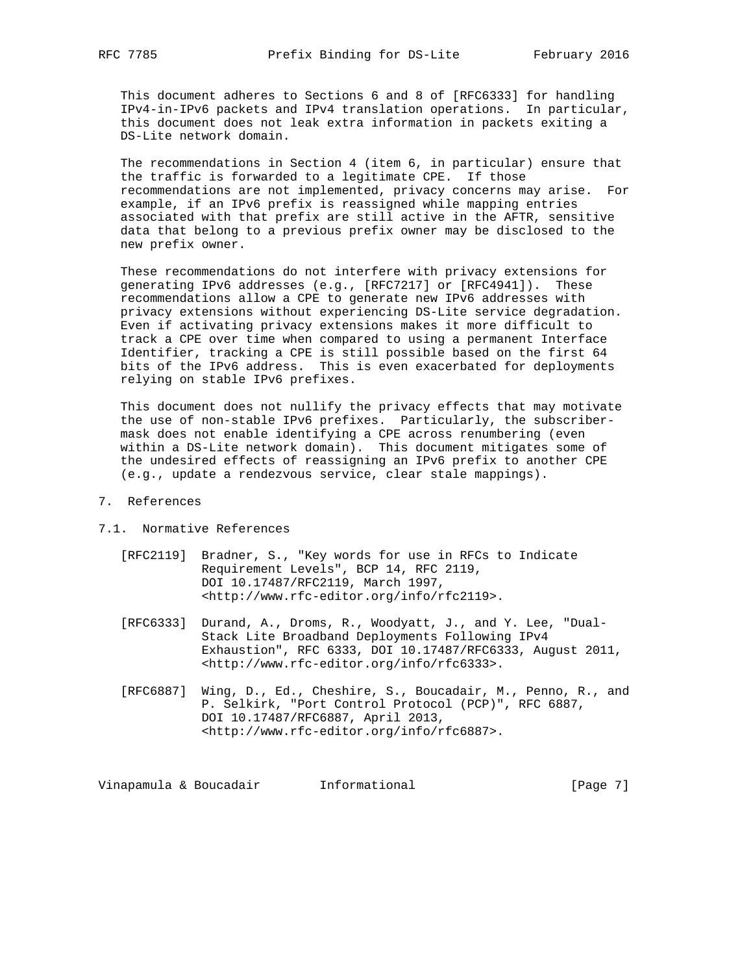This document adheres to Sections 6 and 8 of [RFC6333] for handling IPv4-in-IPv6 packets and IPv4 translation operations. In particular, this document does not leak extra information in packets exiting a DS-Lite network domain.

 The recommendations in Section 4 (item 6, in particular) ensure that the traffic is forwarded to a legitimate CPE. If those recommendations are not implemented, privacy concerns may arise. For example, if an IPv6 prefix is reassigned while mapping entries associated with that prefix are still active in the AFTR, sensitive data that belong to a previous prefix owner may be disclosed to the new prefix owner.

 These recommendations do not interfere with privacy extensions for generating IPv6 addresses (e.g., [RFC7217] or [RFC4941]). These recommendations allow a CPE to generate new IPv6 addresses with privacy extensions without experiencing DS-Lite service degradation. Even if activating privacy extensions makes it more difficult to track a CPE over time when compared to using a permanent Interface Identifier, tracking a CPE is still possible based on the first 64 bits of the IPv6 address. This is even exacerbated for deployments relying on stable IPv6 prefixes.

 This document does not nullify the privacy effects that may motivate the use of non-stable IPv6 prefixes. Particularly, the subscriber mask does not enable identifying a CPE across renumbering (even within a DS-Lite network domain). This document mitigates some of the undesired effects of reassigning an IPv6 prefix to another CPE (e.g., update a rendezvous service, clear stale mappings).

# 7. References

#### 7.1. Normative References

- [RFC2119] Bradner, S., "Key words for use in RFCs to Indicate Requirement Levels", BCP 14, RFC 2119, DOI 10.17487/RFC2119, March 1997, <http://www.rfc-editor.org/info/rfc2119>.
- [RFC6333] Durand, A., Droms, R., Woodyatt, J., and Y. Lee, "Dual- Stack Lite Broadband Deployments Following IPv4 Exhaustion", RFC 6333, DOI 10.17487/RFC6333, August 2011, <http://www.rfc-editor.org/info/rfc6333>.
- [RFC6887] Wing, D., Ed., Cheshire, S., Boucadair, M., Penno, R., and P. Selkirk, "Port Control Protocol (PCP)", RFC 6887, DOI 10.17487/RFC6887, April 2013, <http://www.rfc-editor.org/info/rfc6887>.

Vinapamula & Boucadair **Informational Informational** [Page 7]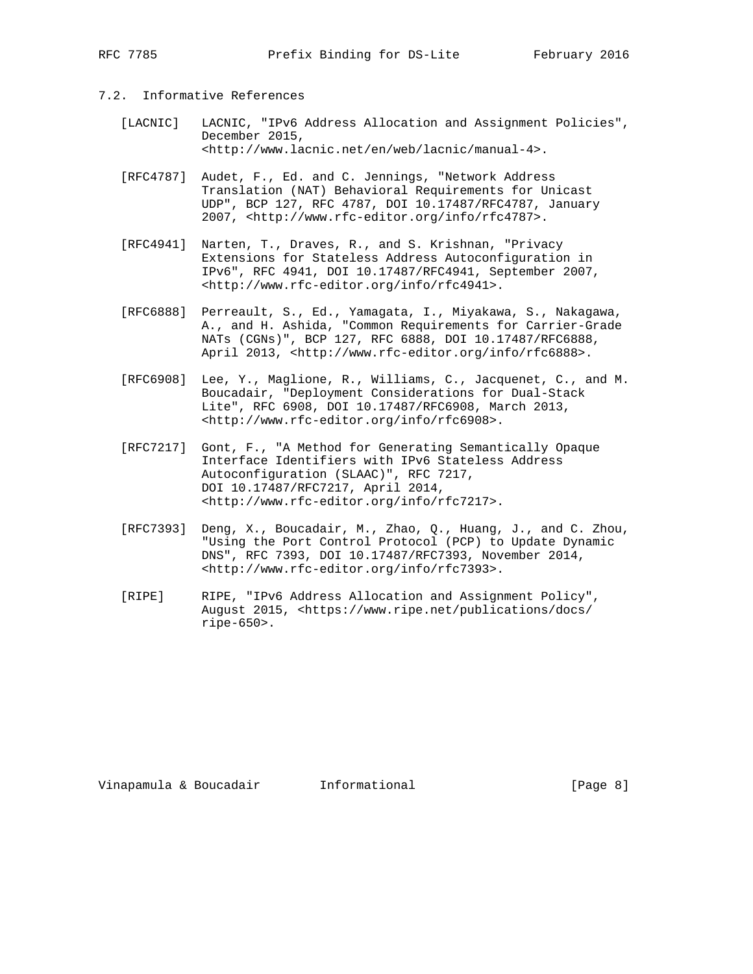# 7.2. Informative References

- [LACNIC] LACNIC, "IPv6 Address Allocation and Assignment Policies", December 2015, <http://www.lacnic.net/en/web/lacnic/manual-4>.
- [RFC4787] Audet, F., Ed. and C. Jennings, "Network Address Translation (NAT) Behavioral Requirements for Unicast UDP", BCP 127, RFC 4787, DOI 10.17487/RFC4787, January 2007, <http://www.rfc-editor.org/info/rfc4787>.
- [RFC4941] Narten, T., Draves, R., and S. Krishnan, "Privacy Extensions for Stateless Address Autoconfiguration in IPv6", RFC 4941, DOI 10.17487/RFC4941, September 2007, <http://www.rfc-editor.org/info/rfc4941>.
- [RFC6888] Perreault, S., Ed., Yamagata, I., Miyakawa, S., Nakagawa, A., and H. Ashida, "Common Requirements for Carrier-Grade NATs (CGNs)", BCP 127, RFC 6888, DOI 10.17487/RFC6888, April 2013, <http://www.rfc-editor.org/info/rfc6888>.
- [RFC6908] Lee, Y., Maglione, R., Williams, C., Jacquenet, C., and M. Boucadair, "Deployment Considerations for Dual-Stack Lite", RFC 6908, DOI 10.17487/RFC6908, March 2013, <http://www.rfc-editor.org/info/rfc6908>.
- [RFC7217] Gont, F., "A Method for Generating Semantically Opaque Interface Identifiers with IPv6 Stateless Address Autoconfiguration (SLAAC)", RFC 7217, DOI 10.17487/RFC7217, April 2014, <http://www.rfc-editor.org/info/rfc7217>.
- [RFC7393] Deng, X., Boucadair, M., Zhao, Q., Huang, J., and C. Zhou, "Using the Port Control Protocol (PCP) to Update Dynamic DNS", RFC 7393, DOI 10.17487/RFC7393, November 2014, <http://www.rfc-editor.org/info/rfc7393>.
- [RIPE] RIPE, "IPv6 Address Allocation and Assignment Policy", August 2015, <https://www.ripe.net/publications/docs/ ripe-650>.